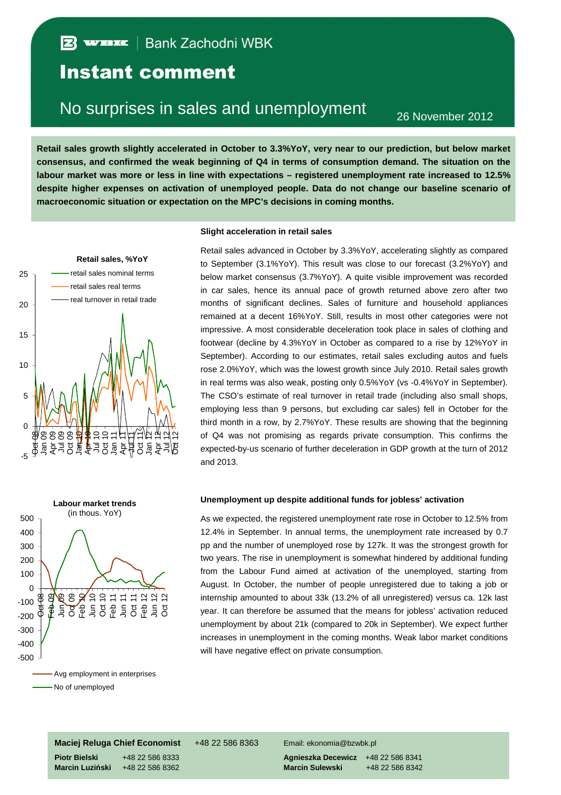## Instant comment

# No surprises in sales and unemployment 26 November 2012

**Retail sales growth slightly accelerated in October to 3.3%YoY, very near to our prediction, but below market consensus, and confirmed the weak beginning of Q4 in terms of consumption demand. The situation on the labour market was more or less in line with expectations – registered unemployment rate increased to 12.5% despite higher expenses on activation of unemployed people. Data do not change our baseline scenario of macroeconomic situation or expectation on the MPC's decisions in coming months.** 



#### -500 -400 -300 -200 -100  $\Omega$ 100 200 300 400 500 oct 08<br>Oct 0  $98$  $\frac{1}{2}$  $\frac{1}{2}$  $89$ **A**<br>Feb 11<br>**S**<br>Feb 11 T 인 C<br>E 이 디 C<br>그 그 O<br>그 그 O **Labour market trends** (in thous. YoY) Avg employment in enterprises - No of unemployed

#### **Slight acceleration in retail sales**

Retail sales advanced in October by 3.3%YoY, accelerating slightly as compared to September (3.1%YoY). This result was close to our forecast (3.2%YoY) and below market consensus (3.7%YoY). A quite visible improvement was recorded in car sales, hence its annual pace of growth returned above zero after two months of significant declines. Sales of furniture and household appliances remained at a decent 16%YoY. Still, results in most other categories were not impressive. A most considerable deceleration took place in sales of clothing and footwear (decline by 4.3%YoY in October as compared to a rise by 12%YoY in September). According to our estimates, retail sales excluding autos and fuels rose 2.0%YoY, which was the lowest growth since July 2010. Retail sales growth in real terms was also weak, posting only 0.5%YoY (vs -0.4%YoY in September). The CSO's estimate of real turnover in retail trade (including also small shops, employing less than 9 persons, but excluding car sales) fell in October for the third month in a row, by 2.7%YoY. These results are showing that the beginning of Q4 was not promising as regards private consumption. This confirms the expected-by-us scenario of further deceleration in GDP growth at the turn of 2012 and 2013.

### **Unemployment up despite additional funds for jobless' activation**

As we expected, the registered unemployment rate rose in October to 12.5% from 12.4% in September. In annual terms, the unemployment rate increased by 0.7 pp and the number of unemployed rose by 127k. It was the strongest growth for two years. The rise in unemployment is somewhat hindered by additional funding from the Labour Fund aimed at activation of the unemployed, starting from August. In October, the number of people unregistered due to taking a job or internship amounted to about 33k (13.2% of all unregistered) versus ca. 12k last year. It can therefore be assumed that the means for jobless' activation reduced unemployment by about 21k (compared to 20k in September). We expect further increases in unemployment in the coming months. Weak labor market conditions will have negative effect on private consumption.

**Maciej Reluga Chief Economist** +48 22 586 8363 Email: ekonomia@bzwbk.pl

**Piotr Bielski** +48 22 586 8333 **Agnieszka Decewicz** +48 22 586 8341 **Marcin Luziński** +48 22 586 8362 **Marcin Sulewski** +48 22 586 8342